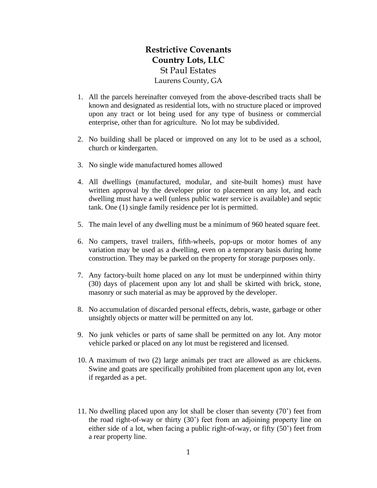## **Restrictive Covenants Country Lots, LLC** St Paul Estates Laurens County, GA

- 1. All the parcels hereinafter conveyed from the above-described tracts shall be known and designated as residential lots, with no structure placed or improved upon any tract or lot being used for any type of business or commercial enterprise, other than for agriculture. No lot may be subdivided.
- 2. No building shall be placed or improved on any lot to be used as a school, church or kindergarten.
- 3. No single wide manufactured homes allowed
- 4. All dwellings (manufactured, modular, and site-built homes) must have written approval by the developer prior to placement on any lot, and each dwelling must have a well (unless public water service is available) and septic tank. One (1) single family residence per lot is permitted.
- 5. The main level of any dwelling must be a minimum of 960 heated square feet.
- 6. No campers, travel trailers, fifth-wheels, pop-ups or motor homes of any variation may be used as a dwelling, even on a temporary basis during home construction. They may be parked on the property for storage purposes only.
- 7. Any factory-built home placed on any lot must be underpinned within thirty (30) days of placement upon any lot and shall be skirted with brick, stone, masonry or such material as may be approved by the developer.
- 8. No accumulation of discarded personal effects, debris, waste, garbage or other unsightly objects or matter will be permitted on any lot.
- 9. No junk vehicles or parts of same shall be permitted on any lot. Any motor vehicle parked or placed on any lot must be registered and licensed.
- 10. A maximum of two (2) large animals per tract are allowed as are chickens. Swine and goats are specifically prohibited from placement upon any lot, even if regarded as a pet.
- 11. No dwelling placed upon any lot shall be closer than seventy (70') feet from the road right-of-way or thirty (30') feet from an adjoining property line on either side of a lot, when facing a public right-of-way, or fifty (50') feet from a rear property line.